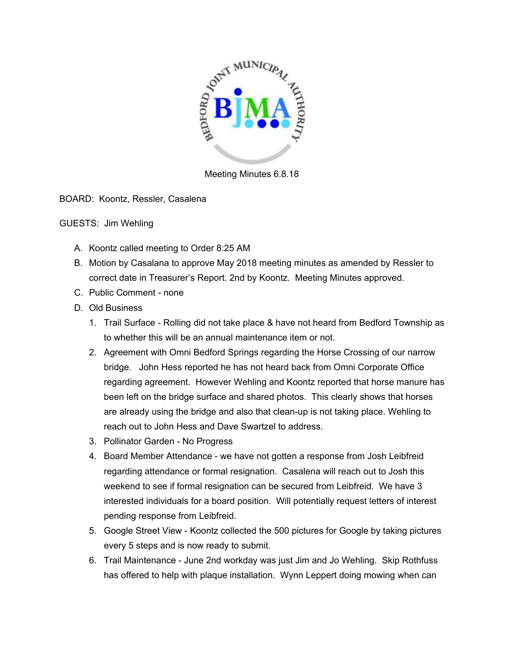

Meeting Minutes 6.8.18

BOARD: Koontz, Ressler, Casalena

## GUESTS: Jim Wehling

- A. Koontz called meeting to Order 8:25 AM
- B. Motion by Casalana to approve May 2018 meeting minutes as amended by Ressler to correct date in Treasurer's Report. 2nd by Koontz. Meeting Minutes approved.
- C. Public Comment none
- D. Old Business
	- 1. Trail Surface Rolling did not take place & have not heard from Bedford Township as to whether this will be an annual maintenance item or not.
	- 2. Agreement with Omni Bedford Springs regarding the Horse Crossing of our narrow bridge. John Hess reported he has not heard back from Omni Corporate Office regarding agreement. However Wehling and Koontz reported that horse manure has been left on the bridge surface and shared photos. This clearly shows that horses are already using the bridge and also that clean-up is not taking place. Wehling to reach out to John Hess and Dave Swartzel to address.
	- 3. Pollinator Garden No Progress
	- 4. Board Member Attendance we have not gotten a response from Josh Leibfreid regarding attendance or formal resignation. Casalena will reach out to Josh this weekend to see if formal resignation can be secured from Leibfreid. We have 3 interested individuals for a board position. Will potentially request letters of interest pending response from Leibfreid.
	- 5. Google Street View Koontz collected the 500 pictures for Google by taking pictures every 5 steps and is now ready to submit.
	- 6. Trail Maintenance June 2nd workday was just Jim and Jo Wehling. Skip Rothfuss has offered to help with plaque installation. Wynn Leppert doing mowing when can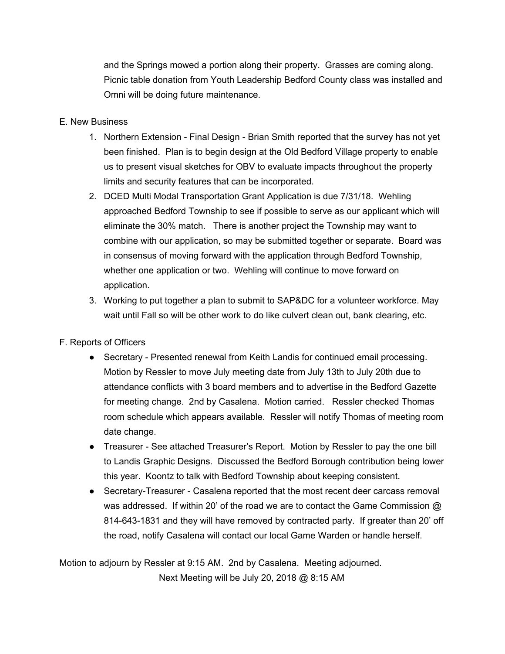and the Springs mowed a portion along their property. Grasses are coming along. Picnic table donation from Youth Leadership Bedford County class was installed and Omni will be doing future maintenance.

## E. New Business

- 1. Northern Extension Final Design Brian Smith reported that the survey has not yet been finished. Plan is to begin design at the Old Bedford Village property to enable us to present visual sketches for OBV to evaluate impacts throughout the property limits and security features that can be incorporated.
- 2. DCED Multi Modal Transportation Grant Application is due 7/31/18. Wehling approached Bedford Township to see if possible to serve as our applicant which will eliminate the 30% match. There is another project the Township may want to combine with our application, so may be submitted together or separate. Board was in consensus of moving forward with the application through Bedford Township, whether one application or two. Wehling will continue to move forward on application.
- 3. Working to put together a plan to submit to SAP&DC for a volunteer workforce. May wait until Fall so will be other work to do like culvert clean out, bank clearing, etc.

## F. Reports of Officers

- Secretary Presented renewal from Keith Landis for continued email processing. Motion by Ressler to move July meeting date from July 13th to July 20th due to attendance conflicts with 3 board members and to advertise in the Bedford Gazette for meeting change. 2nd by Casalena. Motion carried. Ressler checked Thomas room schedule which appears available. Ressler will notify Thomas of meeting room date change.
- Treasurer See attached Treasurer's Report. Motion by Ressler to pay the one bill to Landis Graphic Designs. Discussed the Bedford Borough contribution being lower this year. Koontz to talk with Bedford Township about keeping consistent.
- Secretary-Treasurer Casalena reported that the most recent deer carcass removal was addressed. If within 20' of the road we are to contact the Game Commission  $@$ 814-643-1831 and they will have removed by contracted party. If greater than 20' off the road, notify Casalena will contact our local Game Warden or handle herself.

Motion to adjourn by Ressler at 9:15 AM. 2nd by Casalena. Meeting adjourned. Next Meeting will be July 20, 2018 @ 8:15 AM